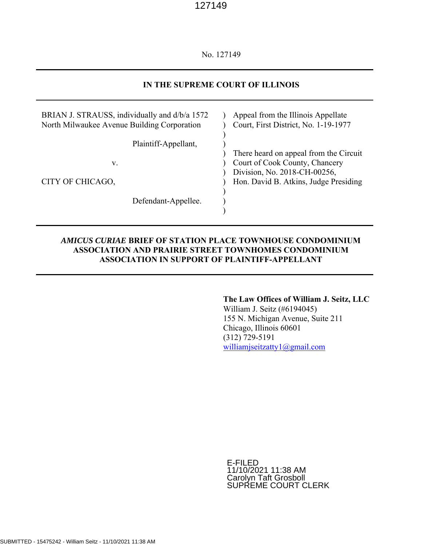No. 127149

# **IN THE SUPREME COURT OF ILLINOIS**

| BRIAN J. STRAUSS, individually and d/b/a 1572<br>North Milwaukee Avenue Building Corporation | Appeal from the Illinois Appellate<br>Court, First District, No. 1-19-1977 |
|----------------------------------------------------------------------------------------------|----------------------------------------------------------------------------|
| Plaintiff-Appellant,                                                                         | There heard on appeal from the Circuit                                     |
| v.                                                                                           | Court of Cook County, Chancery<br>Division, No. 2018-CH-00256,             |
| CITY OF CHICAGO,                                                                             | Hon. David B. Atkins, Judge Presiding                                      |
| Defendant-Appellee.                                                                          |                                                                            |

## *AMICUS CURIAE* **BRIEF OF STATION PLACE TOWNHOUSE CONDOMINIUM ASSOCIATION AND PRAIRIE STREET TOWNHOMES CONDOMINIUM ASSOCIATION IN SUPPORT OF PLAINTIFF-APPELLANT**

## **The Law Offices of William J. Seitz, LLC**

William J. Seitz (#6194045) 155 N. Michigan Avenue, Suite 211 Chicago, Illinois 60601 (312) 729-5191 williamjseitzatty1@gmail.com

E-FILED 11/10/2021 11:38 AM Carolyn Taft Grosboll SUPREME COURT CLERK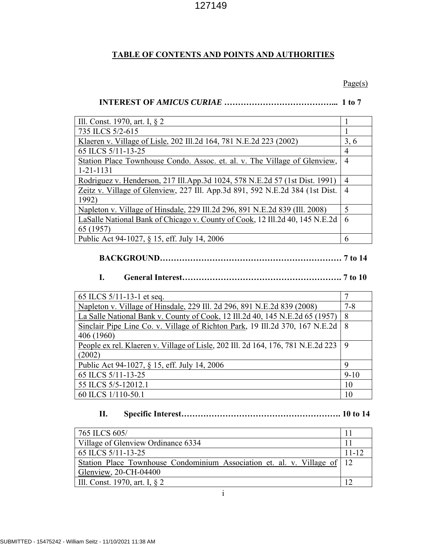# **TABLE OF CONTENTS AND POINTS AND AUTHORITIES**

## $\text{Page}(s)$

# **INTEREST OF** *AMICUS CURIAE* **…………………………………... 1 to 7**

| Ill. Const. 1970, art. I, $\S$ 2                                             |                |
|------------------------------------------------------------------------------|----------------|
| 735 ILCS 5/2-615                                                             |                |
| Klaeren v. Village of Lisle, 202 Ill.2d 164, 781 N.E.2d 223 (2002)           | 3, 6           |
| 65 ILCS 5/11-13-25                                                           | 4              |
| Station Place Townhouse Condo. Assoc. et. al. v. The Village of Glenview,    | 4              |
| $1 - 21 - 1131$                                                              |                |
| Rodriguez v. Henderson, 217 Ill.App.3d 1024, 578 N.E.2d 57 (1st Dist. 1991)  | 4              |
| Zeitz v. Village of Glenview, 227 Ill. App.3d 891, 592 N.E.2d 384 (1st Dist. | $\overline{4}$ |
| 1992)                                                                        |                |
| Napleton v. Village of Hinsdale, 229 Ill.2d 296, 891 N.E.2d 839 (Ill. 2008)  | 5              |
| LaSalle National Bank of Chicago v. County of Cook, 12 Ill.2d 40, 145 N.E.2d | 6              |
| 65 (1957)                                                                    |                |
| Public Act 94-1027, § 15, eff. July 14, 2006                                 | 6              |

## **BACKGROUND………………………………………………………… 7 to 14**

# **I. General Interest…………………………………………………. 7 to 10**

| 65 ILCS $5/11-13-1$ et seq.                                                      |          |
|----------------------------------------------------------------------------------|----------|
| Napleton v. Village of Hinsdale, 229 Ill. 2d 296, 891 N.E.2d 839 (2008)          | $7 - 8$  |
| La Salle National Bank v. County of Cook, 12 Ill.2d 40, 145 N.E.2d 65 (1957)     | 8        |
| Sinclair Pipe Line Co. v. Village of Richton Park, 19 Ill.2d 370, 167 N.E.2d     | 8        |
| 406 (1960)                                                                       |          |
| People ex rel. Klaeren v. Village of Lisle, 202 Ill. 2d 164, 176, 781 N.E.2d 223 | - 9      |
| (2002)                                                                           |          |
| Public Act 94-1027, § 15, eff. July 14, 2006                                     | 9        |
| 65 ILCS 5/11-13-25                                                               | $9 - 10$ |
| 55 ILCS 5/5-12012.1                                                              | 10       |
| 60 ILCS 1/110-50.1                                                               | 10       |

# **II. Specific Interest…………………………………………………. 10 to 14**

| 765 ILCS 605/                                                            |           |
|--------------------------------------------------------------------------|-----------|
| Village of Glenview Ordinance 6334                                       |           |
| 65 ILCS 5/11-13-25                                                       | $11 - 12$ |
| Station Place Townhouse Condominium Association et. al. v. Village of 12 |           |
| Glenview, 20-CH-04400                                                    |           |
| III. Const. 1970, art. I, § 2                                            |           |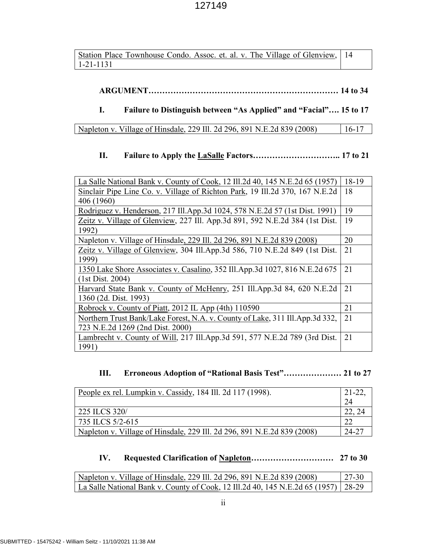| Station Place Townhouse Condo. Assoc. et. al. v. The Village of Glenview, 14 |  |
|------------------------------------------------------------------------------|--|
| 1-21-1131                                                                    |  |

# **ARGUMENT…………………………………………………………… 14 to 34**

# **I. Failure to Distinguish between "As Applied" and "Facial"…. 15 to 17**

| Napleton v. Village of Hinsdale, 229 Ill. 2d 296, 891 N.E. 2d 839 (2008) | $16-17$ |
|--------------------------------------------------------------------------|---------|
|                                                                          |         |

# **II. Failure to Apply the LaSalle Factors………………………….. 17 to 21**

| La Salle National Bank v. County of Cook, 12 Ill.2d 40, 145 N.E.2d 65 (1957)   | 18-19 |
|--------------------------------------------------------------------------------|-------|
| Sinclair Pipe Line Co. v. Village of Richton Park, 19 Ill.2d 370, 167 N.E.2d   | 18    |
| 406 (1960)                                                                     |       |
| Rodriguez v. Henderson, 217 Ill.App.3d 1024, 578 N.E.2d 57 (1st Dist. 1991)    | 19    |
| Zeitz v. Village of Glenview, 227 Ill. App.3d 891, 592 N.E.2d 384 (1st Dist.   | 19    |
| 1992)                                                                          |       |
| Napleton v. Village of Hinsdale, 229 Ill. 2d 296, 891 N.E.2d 839 (2008)        | 20    |
| Zeitz v. Village of Glenview, 304 Ill.App.3d 586, 710 N.E.2d 849 (1st Dist.    | 21    |
| 1999)                                                                          |       |
| 1350 Lake Shore Associates v. Casalino, 352 Ill. App. 3d 1027, 816 N.E. 2d 675 | 21    |
| (1st Dist. 2004)                                                               |       |
| Harvard State Bank v. County of McHenry, 251 Ill.App.3d 84, 620 N.E.2d         | 21    |
| 1360 (2d. Dist. 1993)                                                          |       |
| Robrock v. County of Piatt, 2012 IL App (4th) 110590                           | 21    |
| Northern Trust Bank/Lake Forest, N.A. v. County of Lake, 311 Ill. App. 3d 332, | 21    |
| 723 N.E.2d 1269 (2nd Dist. 2000)                                               |       |
| Lambrecht v. County of Will, 217 Ill.App.3d 591, 577 N.E.2d 789 (3rd Dist.     | 21    |
| 1991)                                                                          |       |

# **III. Erroneous Adoption of "Rational Basis Test"………………… 21 to 27**

| People ex rel. Lumpkin v. Cassidy, 184 Ill. 2d 117 (1998).              | $21-22$ |
|-------------------------------------------------------------------------|---------|
|                                                                         | 24      |
| 225 ILCS 320/                                                           |         |
| 735 ILCS 5/2-615                                                        | ററ      |
| Napleton v. Village of Hinsdale, 229 Ill. 2d 296, 891 N.E.2d 839 (2008) | 24-27   |

# **IV. Requested Clarification of Napleton………………………… 27 to 30**

| Napleton v. Village of Hinsdale, 229 Ill. 2d 296, 891 N.E.2d 839 (2008)            | $127-30$ |
|------------------------------------------------------------------------------------|----------|
| La Salle National Bank v. County of Cook, 12 Ill.2d 40, 145 N.E.2d 65 (1957) 28-29 |          |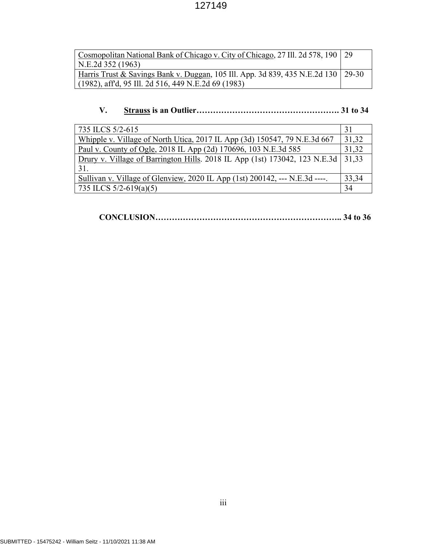| Cosmopolitan National Bank of Chicago v. City of Chicago, 27 Ill. 2d 578, 190   29  |  |
|-------------------------------------------------------------------------------------|--|
| N.E.2d 352 (1963)                                                                   |  |
| Harris Trust & Savings Bank v. Duggan, 105 Ill. App. 3d 839, 435 N.E.2d 130   29-30 |  |
| $(1982)$ , aff <sup>d</sup> , 95 Ill. 2d 516, 449 N.E. 2d 69 (1983)                 |  |

# **V. Strauss is an Outlier……………………………………………. 31 to 34**

| 735 ILCS 5/2-615                                                            | 31    |
|-----------------------------------------------------------------------------|-------|
| Whipple v. Village of North Utica, 2017 IL App (3d) 150547, 79 N.E.3d 667   | 31,32 |
| Paul v. County of Ogle, 2018 IL App (2d) 170696, 103 N.E.3d 585             | 31,32 |
| Drury v. Village of Barrington Hills. 2018 IL App (1st) 173042, 123 N.E.3d  | 31,33 |
| 31.                                                                         |       |
| Sullivan v. Village of Glenview, 2020 IL App (1st) 200142, --- N.E.3d ----. | 33,34 |
| 735 ILCS $5/2-619(a)(5)$                                                    | 34    |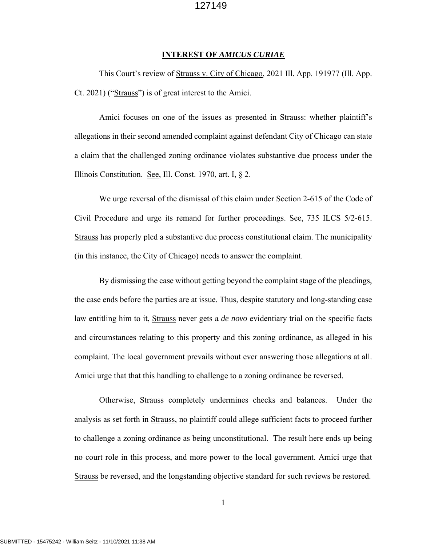#### **INTEREST OF** *AMICUS CURIAE*

This Court's review of Strauss v. City of Chicago, 2021 Ill. App. 191977 (Ill. App. Ct. 2021) ("Strauss") is of great interest to the Amici.

Amici focuses on one of the issues as presented in Strauss: whether plaintiff's allegations in their second amended complaint against defendant City of Chicago can state a claim that the challenged zoning ordinance violates substantive due process under the Illinois Constitution. See, Ill. Const. 1970, art. I, § 2.

We urge reversal of the dismissal of this claim under Section 2-615 of the Code of Civil Procedure and urge its remand for further proceedings. See, 735 ILCS 5/2-615. Strauss has properly pled a substantive due process constitutional claim. The municipality (in this instance, the City of Chicago) needs to answer the complaint.

By dismissing the case without getting beyond the complaint stage of the pleadings, the case ends before the parties are at issue. Thus, despite statutory and long-standing case law entitling him to it, Strauss never gets a *de novo* evidentiary trial on the specific facts and circumstances relating to this property and this zoning ordinance, as alleged in his complaint. The local government prevails without ever answering those allegations at all. Amici urge that that this handling to challenge to a zoning ordinance be reversed.

Otherwise, Strauss completely undermines checks and balances. Under the analysis as set forth in Strauss, no plaintiff could allege sufficient facts to proceed further to challenge a zoning ordinance as being unconstitutional. The result here ends up being no court role in this process, and more power to the local government. Amici urge that Strauss be reversed, and the longstanding objective standard for such reviews be restored.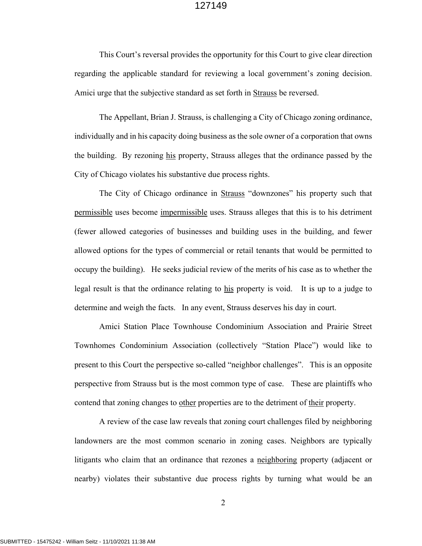This Court's reversal provides the opportunity for this Court to give clear direction regarding the applicable standard for reviewing a local government's zoning decision. Amici urge that the subjective standard as set forth in Strauss be reversed.

The Appellant, Brian J. Strauss, is challenging a City of Chicago zoning ordinance, individually and in his capacity doing business as the sole owner of a corporation that owns the building. By rezoning his property, Strauss alleges that the ordinance passed by the City of Chicago violates his substantive due process rights.

The City of Chicago ordinance in Strauss "downzones" his property such that permissible uses become impermissible uses. Strauss alleges that this is to his detriment (fewer allowed categories of businesses and building uses in the building, and fewer allowed options for the types of commercial or retail tenants that would be permitted to occupy the building). He seeks judicial review of the merits of his case as to whether the legal result is that the ordinance relating to his property is void. It is up to a judge to determine and weigh the facts. In any event, Strauss deserves his day in court.

Amici Station Place Townhouse Condominium Association and Prairie Street Townhomes Condominium Association (collectively "Station Place") would like to present to this Court the perspective so-called "neighbor challenges". This is an opposite perspective from Strauss but is the most common type of case. These are plaintiffs who contend that zoning changes to other properties are to the detriment of their property.

A review of the case law reveals that zoning court challenges filed by neighboring landowners are the most common scenario in zoning cases. Neighbors are typically litigants who claim that an ordinance that rezones a neighboring property (adjacent or nearby) violates their substantive due process rights by turning what would be an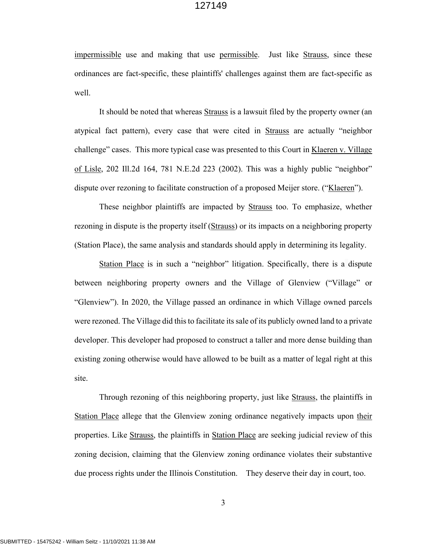impermissible use and making that use permissible. Just like Strauss, since these ordinances are fact-specific, these plaintiffs' challenges against them are fact-specific as well.

It should be noted that whereas Strauss is a lawsuit filed by the property owner (an atypical fact pattern), every case that were cited in Strauss are actually "neighbor challenge" cases. This more typical case was presented to this Court in Klaeren v. Village of Lisle, 202 Ill.2d 164, 781 N.E.2d 223 (2002). This was a highly public "neighbor" dispute over rezoning to facilitate construction of a proposed Meijer store. ("Klaeren").

These neighbor plaintiffs are impacted by Strauss too. To emphasize, whether rezoning in dispute is the property itself (Strauss) or its impacts on a neighboring property (Station Place), the same analysis and standards should apply in determining its legality.

Station Place is in such a "neighbor" litigation. Specifically, there is a dispute between neighboring property owners and the Village of Glenview ("Village" or "Glenview"). In 2020, the Village passed an ordinance in which Village owned parcels were rezoned. The Village did this to facilitate its sale of its publicly owned land to a private developer. This developer had proposed to construct a taller and more dense building than existing zoning otherwise would have allowed to be built as a matter of legal right at this site.

Through rezoning of this neighboring property, just like Strauss, the plaintiffs in Station Place allege that the Glenview zoning ordinance negatively impacts upon their properties. Like Strauss, the plaintiffs in Station Place are seeking judicial review of this zoning decision, claiming that the Glenview zoning ordinance violates their substantive due process rights under the Illinois Constitution. They deserve their day in court, too.

3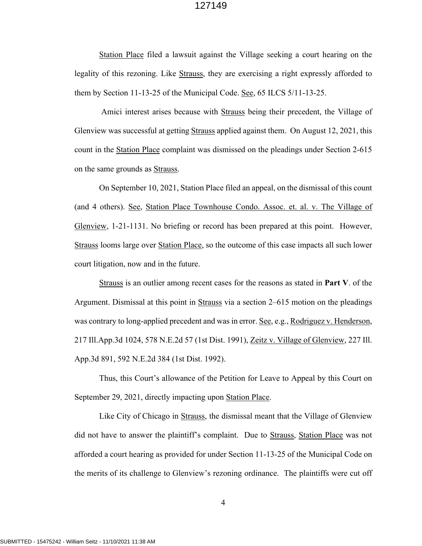Station Place filed a lawsuit against the Village seeking a court hearing on the legality of this rezoning. Like Strauss, they are exercising a right expressly afforded to them by Section 11-13-25 of the Municipal Code. See, 65 ILCS 5/11-13-25.

 Amici interest arises because with Strauss being their precedent, the Village of Glenview was successful at getting Strauss applied against them. On August 12, 2021, this count in the Station Place complaint was dismissed on the pleadings under Section 2-615 on the same grounds as Strauss.

On September 10, 2021, Station Place filed an appeal, on the dismissal of this count (and 4 others). See, Station Place Townhouse Condo. Assoc. et. al. v. The Village of Glenview, 1-21-1131. No briefing or record has been prepared at this point. However, Strauss looms large over Station Place, so the outcome of this case impacts all such lower court litigation, now and in the future.

Strauss is an outlier among recent cases for the reasons as stated in **Part V**. of the Argument. Dismissal at this point in Strauss via a section 2–615 motion on the pleadings was contrary to long-applied precedent and was in error. <u>See</u>, e.g., Rodriguez v. Henderson, 217 Ill.App.3d 1024, 578 N.E.2d 57 (1st Dist. 1991), Zeitz v. Village of Glenview, 227 Ill. App.3d 891, 592 N.E.2d 384 (1st Dist. 1992).

Thus, this Court's allowance of the Petition for Leave to Appeal by this Court on September 29, 2021, directly impacting upon Station Place.

Like City of Chicago in Strauss, the dismissal meant that the Village of Glenview did not have to answer the plaintiff's complaint. Due to Strauss, Station Place was not afforded a court hearing as provided for under Section 11-13-25 of the Municipal Code on the merits of its challenge to Glenview's rezoning ordinance. The plaintiffs were cut off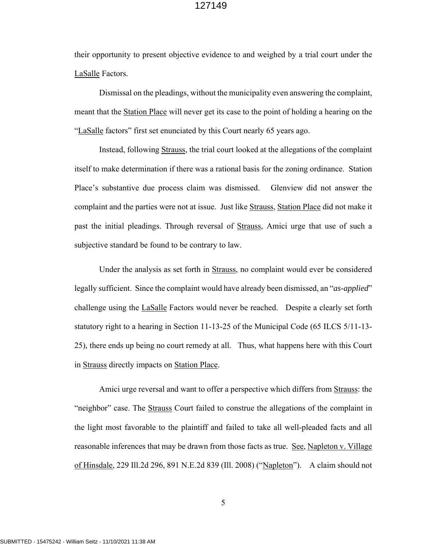their opportunity to present objective evidence to and weighed by a trial court under the LaSalle Factors.

Dismissal on the pleadings, without the municipality even answering the complaint, meant that the Station Place will never get its case to the point of holding a hearing on the "LaSalle factors" first set enunciated by this Court nearly 65 years ago.

Instead, following Strauss, the trial court looked at the allegations of the complaint itself to make determination if there was a rational basis for the zoning ordinance. Station Place's substantive due process claim was dismissed. Glenview did not answer the complaint and the parties were not at issue. Just like Strauss, Station Place did not make it past the initial pleadings. Through reversal of Strauss, Amici urge that use of such a subjective standard be found to be contrary to law.

Under the analysis as set forth in Strauss, no complaint would ever be considered legally sufficient. Since the complaint would have already been dismissed, an "*as-applied*" challenge using the *LaSalle* Factors would never be reached. Despite a clearly set forth statutory right to a hearing in Section 11-13-25 of the Municipal Code (65 ILCS 5/11-13- 25), there ends up being no court remedy at all. Thus, what happens here with this Court in Strauss directly impacts on Station Place.

Amici urge reversal and want to offer a perspective which differs from Strauss: the "neighbor" case. The **Strauss** Court failed to construe the allegations of the complaint in the light most favorable to the plaintiff and failed to take all well-pleaded facts and all reasonable inferences that may be drawn from those facts as true. See, Napleton v. Village of Hinsdale, 229 Ill.2d 296, 891 N.E.2d 839 (Ill. 2008) ("Napleton"). A claim should not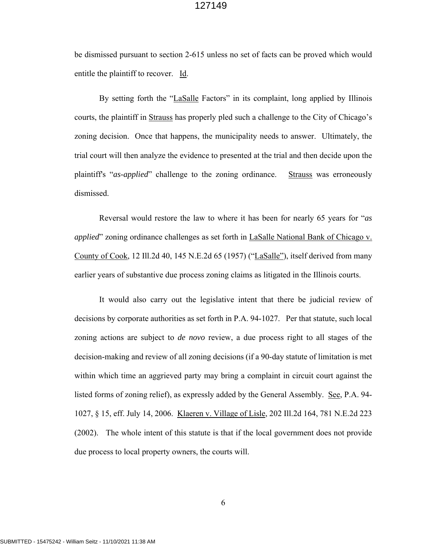be dismissed pursuant to section 2-615 unless no set of facts can be proved which would entitle the plaintiff to recover. Id.

By setting forth the "LaSalle Factors" in its complaint, long applied by Illinois courts, the plaintiff in Strauss has properly pled such a challenge to the City of Chicago's zoning decision. Once that happens, the municipality needs to answer. Ultimately, the trial court will then analyze the evidence to presented at the trial and then decide upon the plaintiff's "*as-applied*" challenge to the zoning ordinance. Strauss was erroneously dismissed.

Reversal would restore the law to where it has been for nearly 65 years for "*as applied*" zoning ordinance challenges as set forth in LaSalle National Bank of Chicago v. County of Cook, 12 Ill.2d 40, 145 N.E.2d 65 (1957) ("LaSalle"), itself derived from many earlier years of substantive due process zoning claims as litigated in the Illinois courts.

It would also carry out the legislative intent that there be judicial review of decisions by corporate authorities as set forth in P.A. 94-1027. Per that statute, such local zoning actions are subject to *de novo* review, a due process right to all stages of the decision-making and review of all zoning decisions (if a 90-day statute of limitation is met within which time an aggrieved party may bring a complaint in circuit court against the listed forms of zoning relief), as expressly added by the General Assembly. See, P.A. 94- 1027, § 15, eff. July 14, 2006. Klaeren v. Village of Lisle, 202 Ill.2d 164, 781 N.E.2d 223 (2002). The whole intent of this statute is that if the local government does not provide due process to local property owners, the courts will.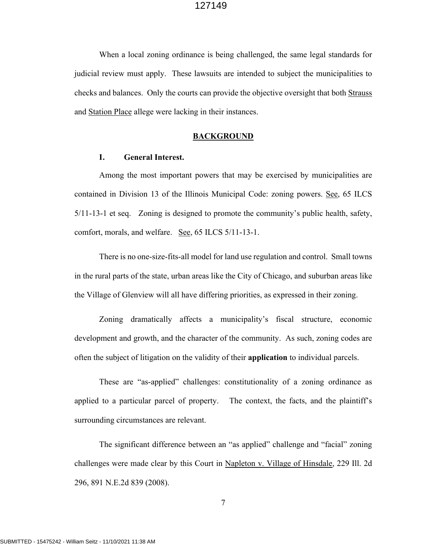When a local zoning ordinance is being challenged, the same legal standards for judicial review must apply. These lawsuits are intended to subject the municipalities to checks and balances. Only the courts can provide the objective oversight that both Strauss and Station Place allege were lacking in their instances.

#### **BACKGROUND**

#### **I. General Interest.**

Among the most important powers that may be exercised by municipalities are contained in Division 13 of the Illinois Municipal Code: zoning powers. See, 65 ILCS 5/11-13-1 et seq. Zoning is designed to promote the community's public health, safety, comfort, morals, and welfare. See, 65 ILCS 5/11-13-1.

There is no one-size-fits-all model for land use regulation and control. Small towns in the rural parts of the state, urban areas like the City of Chicago, and suburban areas like the Village of Glenview will all have differing priorities, as expressed in their zoning.

Zoning dramatically affects a municipality's fiscal structure, economic development and growth, and the character of the community. As such, zoning codes are often the subject of litigation on the validity of their **application** to individual parcels.

These are "as-applied" challenges: constitutionality of a zoning ordinance as applied to a particular parcel of property. The context, the facts, and the plaintiff's surrounding circumstances are relevant.

The significant difference between an "as applied" challenge and "facial" zoning challenges were made clear by this Court in Napleton v. Village of Hinsdale, 229 Ill. 2d 296, 891 N.E.2d 839 (2008).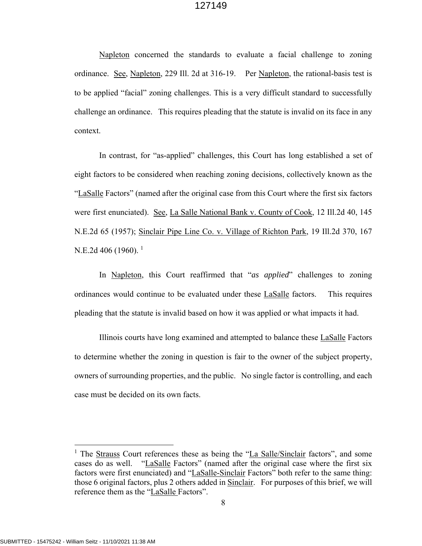Napleton concerned the standards to evaluate a facial challenge to zoning ordinance. See, Napleton, 229 Ill. 2d at 316-19. Per Napleton, the rational-basis test is to be applied "facial" zoning challenges. This is a very difficult standard to successfully challenge an ordinance. This requires pleading that the statute is invalid on its face in any context.

In contrast, for "as-applied" challenges, this Court has long established a set of eight factors to be considered when reaching zoning decisions, collectively known as the "LaSalle Factors" (named after the original case from this Court where the first six factors were first enunciated). See, La Salle National Bank v. County of Cook, 12 Ill.2d 40, 145 N.E.2d 65 (1957); Sinclair Pipe Line Co. v. Village of Richton Park, 19 Ill.2d 370, 167 N.E.2d 406 (1960). <sup>1</sup>

In Napleton, this Court reaffirmed that "*as applied*" challenges to zoning ordinances would continue to be evaluated under these LaSalle factors. This requires pleading that the statute is invalid based on how it was applied or what impacts it had.

Illinois courts have long examined and attempted to balance these LaSalle Factors to determine whether the zoning in question is fair to the owner of the subject property, owners of surrounding properties, and the public. No single factor is controlling, and each case must be decided on its own facts.

<sup>&</sup>lt;sup>1</sup> The Strauss Court references these as being the "La Salle/Sinclair factors", and some cases do as well. "LaSalle Factors" (named after the original case where the first six factors were first enunciated) and "LaSalle-Sinclair Factors" both refer to the same thing: those 6 original factors, plus 2 others added in Sinclair. For purposes of this brief, we will reference them as the "LaSalle Factors".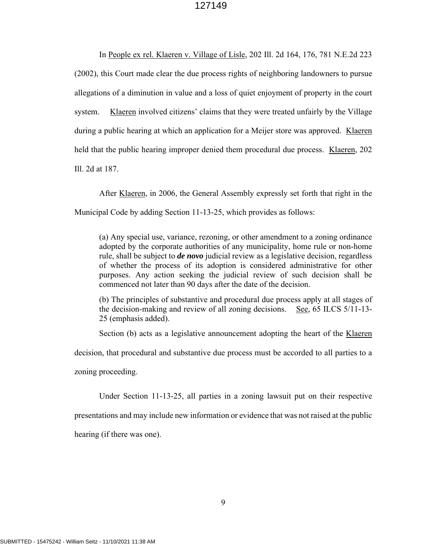In People ex rel. Klaeren v. Village of Lisle, 202 Ill. 2d 164, 176, 781 N.E.2d 223 (2002), this Court made clear the due process rights of neighboring landowners to pursue allegations of a diminution in value and a loss of quiet enjoyment of property in the court system. Klaeren involved citizens' claims that they were treated unfairly by the Village during a public hearing at which an application for a Meijer store was approved. Klaeren held that the public hearing improper denied them procedural due process. Klaeren, 202 Ill. 2d at 187.

After Klaeren, in 2006, the General Assembly expressly set forth that right in the Municipal Code by adding Section 11-13-25, which provides as follows:

(a) Any special use, variance, rezoning, or other amendment to a zoning ordinance adopted by the corporate authorities of any municipality, home rule or non-home rule, shall be subject to *de novo* judicial review as a legislative decision, regardless of whether the process of its adoption is considered administrative for other purposes. Any action seeking the judicial review of such decision shall be commenced not later than 90 days after the date of the decision.

(b) The principles of substantive and procedural due process apply at all stages of the decision-making and review of all zoning decisions. See,  $65$  ILCS  $5/11$ -13-25 (emphasis added).

Section (b) acts as a legislative announcement adopting the heart of the Klaeren

decision, that procedural and substantive due process must be accorded to all parties to a

zoning proceeding.

Under Section 11-13-25, all parties in a zoning lawsuit put on their respective presentations and may include new information or evidence that was not raised at the public hearing (if there was one).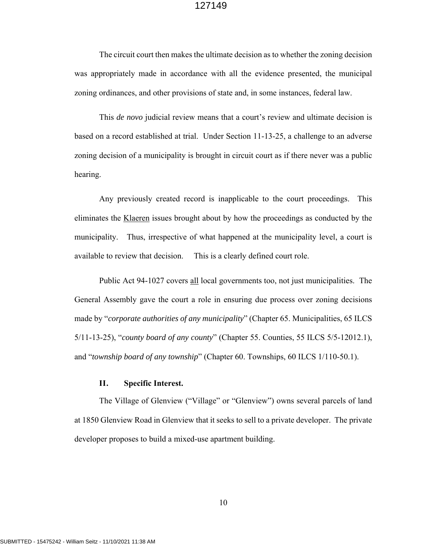The circuit court then makes the ultimate decision as to whether the zoning decision was appropriately made in accordance with all the evidence presented, the municipal zoning ordinances, and other provisions of state and, in some instances, federal law.

This *de novo* judicial review means that a court's review and ultimate decision is based on a record established at trial. Under Section 11-13-25, a challenge to an adverse zoning decision of a municipality is brought in circuit court as if there never was a public hearing.

Any previously created record is inapplicable to the court proceedings. This eliminates the Klaeren issues brought about by how the proceedings as conducted by the municipality. Thus, irrespective of what happened at the municipality level, a court is available to review that decision. This is a clearly defined court role.

Public Act 94-1027 covers all local governments too, not just municipalities. The General Assembly gave the court a role in ensuring due process over zoning decisions made by "*corporate authorities of any municipality*" (Chapter 65. Municipalities, 65 ILCS 5/11-13-25), "*county board of any county*" (Chapter 55. Counties, 55 ILCS 5/5-12012.1), and "*township board of any township*" (Chapter 60. Townships, 60 ILCS 1/110-50.1).

## **II. Specific Interest.**

The Village of Glenview ("Village" or "Glenview") owns several parcels of land at 1850 Glenview Road in Glenview that it seeks to sell to a private developer. The private developer proposes to build a mixed-use apartment building.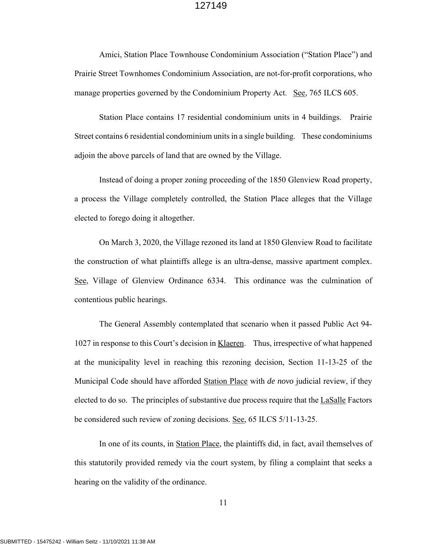Amici, Station Place Townhouse Condominium Association ("Station Place") and Prairie Street Townhomes Condominium Association, are not-for-profit corporations, who manage properties governed by the Condominium Property Act. See, 765 ILCS 605.

Station Place contains 17 residential condominium units in 4 buildings. Prairie Street contains 6 residential condominium units in a single building. These condominiums adjoin the above parcels of land that are owned by the Village.

Instead of doing a proper zoning proceeding of the 1850 Glenview Road property, a process the Village completely controlled, the Station Place alleges that the Village elected to forego doing it altogether.

On March 3, 2020, the Village rezoned its land at 1850 Glenview Road to facilitate the construction of what plaintiffs allege is an ultra-dense, massive apartment complex. See, Village of Glenview Ordinance 6334. This ordinance was the culmination of contentious public hearings.

The General Assembly contemplated that scenario when it passed Public Act 94- 1027 in response to this Court's decision in Klaeren. Thus, irrespective of what happened at the municipality level in reaching this rezoning decision, Section 11-13-25 of the Municipal Code should have afforded Station Place with *de novo* judicial review, if they elected to do so. The principles of substantive due process require that the LaSalle Factors be considered such review of zoning decisions. See, 65 ILCS 5/11-13-25.

In one of its counts, in Station Place, the plaintiffs did, in fact, avail themselves of this statutorily provided remedy via the court system, by filing a complaint that seeks a hearing on the validity of the ordinance.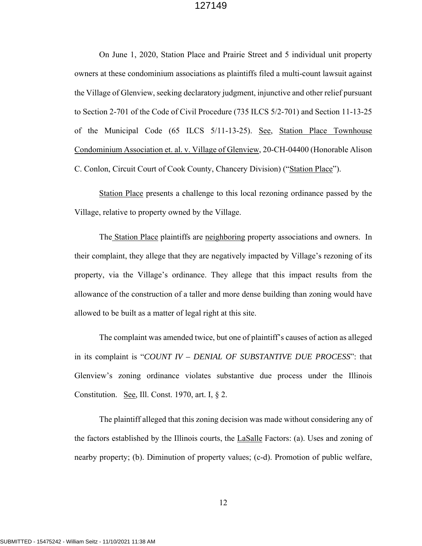On June 1, 2020, Station Place and Prairie Street and 5 individual unit property owners at these condominium associations as plaintiffs filed a multi-count lawsuit against the Village of Glenview, seeking declaratory judgment, injunctive and other relief pursuant to Section 2-701 of the Code of Civil Procedure (735 ILCS 5/2-701) and Section 11-13-25 of the Municipal Code (65 ILCS 5/11-13-25). See, Station Place Townhouse Condominium Association et. al. v. Village of Glenview, 20-CH-04400 (Honorable Alison C. Conlon, Circuit Court of Cook County, Chancery Division) ("Station Place").

Station Place presents a challenge to this local rezoning ordinance passed by the Village, relative to property owned by the Village.

The Station Place plaintiffs are neighboring property associations and owners. In their complaint, they allege that they are negatively impacted by Village's rezoning of its property, via the Village's ordinance. They allege that this impact results from the allowance of the construction of a taller and more dense building than zoning would have allowed to be built as a matter of legal right at this site.

 The complaint was amended twice, but one of plaintiff's causes of action as alleged in its complaint is "*COUNT IV – DENIAL OF SUBSTANTIVE DUE PROCESS*": that Glenview's zoning ordinance violates substantive due process under the Illinois Constitution. See, Ill. Const. 1970, art. I,  $\S$  2.

The plaintiff alleged that this zoning decision was made without considering any of the factors established by the Illinois courts, the LaSalle Factors: (a). Uses and zoning of nearby property; (b). Diminution of property values; (c-d). Promotion of public welfare,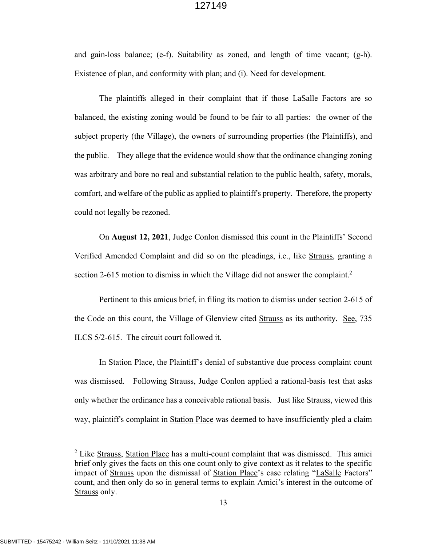and gain-loss balance; (e-f). Suitability as zoned, and length of time vacant; (g-h). Existence of plan, and conformity with plan; and (i). Need for development.

The plaintiffs alleged in their complaint that if those LaSalle Factors are so balanced, the existing zoning would be found to be fair to all parties: the owner of the subject property (the Village), the owners of surrounding properties (the Plaintiffs), and the public. They allege that the evidence would show that the ordinance changing zoning was arbitrary and bore no real and substantial relation to the public health, safety, morals, comfort, and welfare of the public as applied to plaintiff's property. Therefore, the property could not legally be rezoned.

On **August 12, 2021**, Judge Conlon dismissed this count in the Plaintiffs' Second Verified Amended Complaint and did so on the pleadings, i.e., like Strauss, granting a section 2-615 motion to dismiss in which the Village did not answer the complaint.<sup>2</sup>

Pertinent to this amicus brief, in filing its motion to dismiss under section 2-615 of the Code on this count, the Village of Glenview cited Strauss as its authority. See, 735 ILCS 5/2-615. The circuit court followed it.

In Station Place, the Plaintiff's denial of substantive due process complaint count was dismissed. Following Strauss, Judge Conlon applied a rational-basis test that asks only whether the ordinance has a conceivable rational basis. Just like Strauss, viewed this way, plaintiff's complaint in Station Place was deemed to have insufficiently pled a claim

<sup>&</sup>lt;sup>2</sup> Like Strauss, Station Place has a multi-count complaint that was dismissed. This amici brief only gives the facts on this one count only to give context as it relates to the specific impact of Strauss upon the dismissal of Station Place's case relating "LaSalle Factors" count, and then only do so in general terms to explain Amici's interest in the outcome of Strauss only.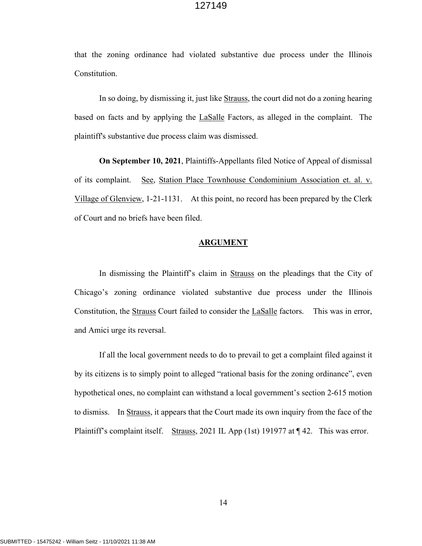that the zoning ordinance had violated substantive due process under the Illinois Constitution.

In so doing, by dismissing it, just like Strauss, the court did not do a zoning hearing based on facts and by applying the **LaSalle** Factors, as alleged in the complaint. The plaintiff's substantive due process claim was dismissed.

**On September 10, 2021**, Plaintiffs-Appellants filed Notice of Appeal of dismissal of its complaint. See, Station Place Townhouse Condominium Association et. al. v. Village of Glenview, 1-21-1131. At this point, no record has been prepared by the Clerk of Court and no briefs have been filed.

#### **ARGUMENT**

In dismissing the Plaintiff's claim in Strauss on the pleadings that the City of Chicago's zoning ordinance violated substantive due process under the Illinois Constitution, the Strauss Court failed to consider the LaSalle factors. This was in error, and Amici urge its reversal.

If all the local government needs to do to prevail to get a complaint filed against it by its citizens is to simply point to alleged "rational basis for the zoning ordinance", even hypothetical ones, no complaint can withstand a local government's section 2-615 motion to dismiss. In Strauss, it appears that the Court made its own inquiry from the face of the Plaintiff's complaint itself. Strauss, 2021 IL App (1st) 191977 at  $\P$  42. This was error.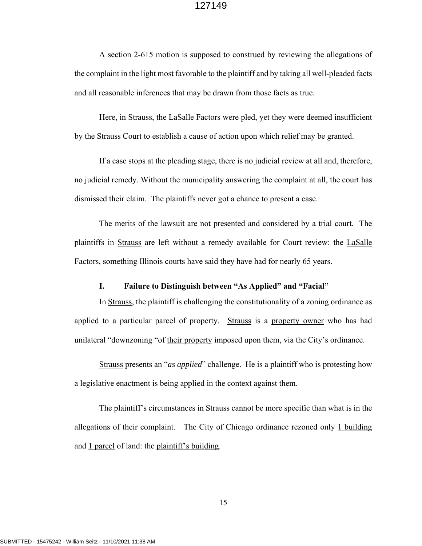A section 2-615 motion is supposed to construed by reviewing the allegations of the complaint in the light most favorable to the plaintiff and by taking all well-pleaded facts and all reasonable inferences that may be drawn from those facts as true.

Here, in Strauss, the LaSalle Factors were pled, yet they were deemed insufficient by the Strauss Court to establish a cause of action upon which relief may be granted.

If a case stops at the pleading stage, there is no judicial review at all and, therefore, no judicial remedy. Without the municipality answering the complaint at all, the court has dismissed their claim. The plaintiffs never got a chance to present a case.

The merits of the lawsuit are not presented and considered by a trial court. The plaintiffs in Strauss are left without a remedy available for Court review: the LaSalle Factors, something Illinois courts have said they have had for nearly 65 years.

## **I. Failure to Distinguish between "As Applied" and "Facial"**

In Strauss, the plaintiff is challenging the constitutionality of a zoning ordinance as applied to a particular parcel of property. Strauss is a property owner who has had unilateral "downzoning "of their property imposed upon them, via the City's ordinance.

Strauss presents an "*as applied*" challenge. He is a plaintiff who is protesting how a legislative enactment is being applied in the context against them.

The plaintiff's circumstances in Strauss cannot be more specific than what is in the allegations of their complaint. The City of Chicago ordinance rezoned only 1 building and  $1$  parcel of land: the plaintiff's building.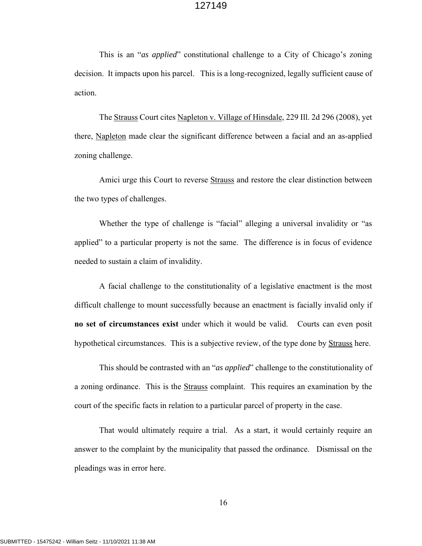This is an "*as applied*" constitutional challenge to a City of Chicago's zoning decision. It impacts upon his parcel. This is a long-recognized, legally sufficient cause of action.

The Strauss Court cites Napleton v. Village of Hinsdale, 229 Ill. 2d 296 (2008), yet there, Napleton made clear the significant difference between a facial and an as-applied zoning challenge.

Amici urge this Court to reverse Strauss and restore the clear distinction between the two types of challenges.

Whether the type of challenge is "facial" alleging a universal invalidity or "as applied" to a particular property is not the same. The difference is in focus of evidence needed to sustain a claim of invalidity.

A facial challenge to the constitutionality of a legislative enactment is the most difficult challenge to mount successfully because an enactment is facially invalid only if **no set of circumstances exist** under which it would be valid. Courts can even posit hypothetical circumstances. This is a subjective review, of the type done by Strauss here.

This should be contrasted with an "*as applied*" challenge to the constitutionality of a zoning ordinance. This is the **Strauss** complaint. This requires an examination by the court of the specific facts in relation to a particular parcel of property in the case.

That would ultimately require a trial. As a start, it would certainly require an answer to the complaint by the municipality that passed the ordinance. Dismissal on the pleadings was in error here.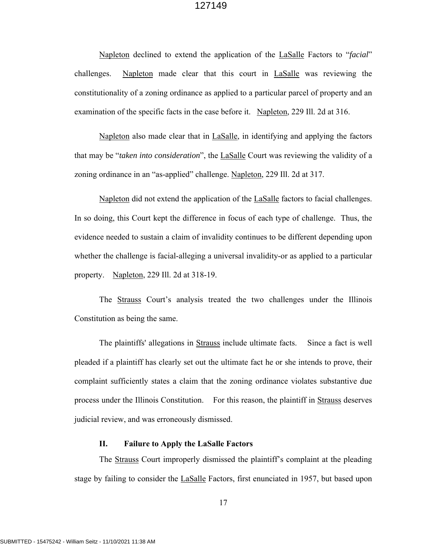Napleton declined to extend the application of the LaSalle Factors to "*facial*" challenges. Napleton made clear that this court in **LaSalle** was reviewing the constitutionality of a zoning ordinance as applied to a particular parcel of property and an examination of the specific facts in the case before it. Napleton, 229 Ill. 2d at 316.

Napleton also made clear that in LaSalle, in identifying and applying the factors that may be "*taken into consideration*", the LaSalle Court was reviewing the validity of a zoning ordinance in an "as-applied" challenge. Napleton, 229 Ill. 2d at 317.

Napleton did not extend the application of the LaSalle factors to facial challenges. In so doing, this Court kept the difference in focus of each type of challenge. Thus, the evidence needed to sustain a claim of invalidity continues to be different depending upon whether the challenge is facial-alleging a universal invalidity-or as applied to a particular property. Napleton, 229 Ill. 2d at 318-19.

The **Strauss** Court's analysis treated the two challenges under the Illinois Constitution as being the same.

The plaintiffs' allegations in Strauss include ultimate facts. Since a fact is well pleaded if a plaintiff has clearly set out the ultimate fact he or she intends to prove, their complaint sufficiently states a claim that the zoning ordinance violates substantive due process under the Illinois Constitution. For this reason, the plaintiff in Strauss deserves judicial review, and was erroneously dismissed.

## **II. Failure to Apply the LaSalle Factors**

The **Strauss** Court improperly dismissed the plaintiff's complaint at the pleading stage by failing to consider the LaSalle Factors, first enunciated in 1957, but based upon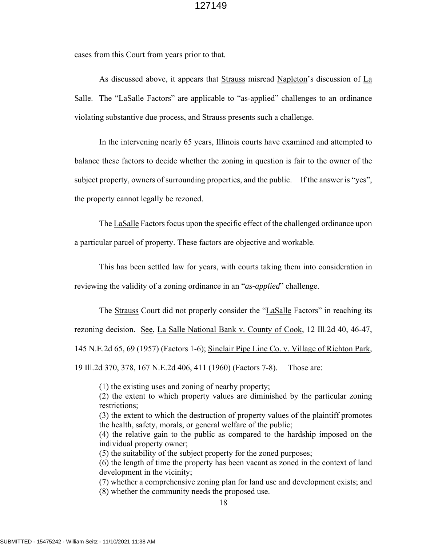cases from this Court from years prior to that.

As discussed above, it appears that Strauss misread Napleton's discussion of La Salle. The "LaSalle Factors" are applicable to "as-applied" challenges to an ordinance violating substantive due process, and Strauss presents such a challenge.

In the intervening nearly 65 years, Illinois courts have examined and attempted to balance these factors to decide whether the zoning in question is fair to the owner of the subject property, owners of surrounding properties, and the public. If the answer is "yes", the property cannot legally be rezoned.

The LaSalle Factors focus upon the specific effect of the challenged ordinance upon a particular parcel of property. These factors are objective and workable.

This has been settled law for years, with courts taking them into consideration in

reviewing the validity of a zoning ordinance in an "*as-applied*" challenge.

The Strauss Court did not properly consider the "LaSalle Factors" in reaching its rezoning decision. See, La Salle National Bank v. County of Cook, 12 Ill.2d 40, 46-47, 145 N.E.2d 65, 69 (1957) (Factors 1-6); Sinclair Pipe Line Co. v. Village of Richton Park, 19 Ill.2d 370, 378, 167 N.E.2d 406, 411 (1960) (Factors 7-8). Those are:

(1) the existing uses and zoning of nearby property;

(2) the extent to which property values are diminished by the particular zoning restrictions;

(3) the extent to which the destruction of property values of the plaintiff promotes the health, safety, morals, or general welfare of the public;

(4) the relative gain to the public as compared to the hardship imposed on the individual property owner;

(5) the suitability of the subject property for the zoned purposes;

(6) the length of time the property has been vacant as zoned in the context of land development in the vicinity;

(7) whether a comprehensive zoning plan for land use and development exists; and (8) whether the community needs the proposed use.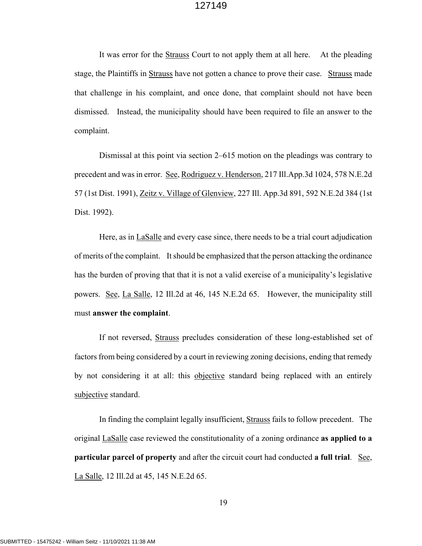It was error for the Strauss Court to not apply them at all here. At the pleading stage, the Plaintiffs in Strauss have not gotten a chance to prove their case. Strauss made that challenge in his complaint, and once done, that complaint should not have been dismissed. Instead, the municipality should have been required to file an answer to the complaint.

Dismissal at this point via section 2–615 motion on the pleadings was contrary to precedent and was in error. See, Rodriguez v. Henderson, 217 Ill.App.3d 1024, 578 N.E.2d 57 (1st Dist. 1991), Zeitz v. Village of Glenview, 227 Ill. App.3d 891, 592 N.E.2d 384 (1st Dist. 1992).

Here, as in LaSalle and every case since, there needs to be a trial court adjudication of merits of the complaint. It should be emphasized that the person attacking the ordinance has the burden of proving that that it is not a valid exercise of a municipality's legislative powers. See, La Salle, 12 Ill.2d at 46, 145 N.E.2d 65. However, the municipality still must **answer the complaint**.

If not reversed, Strauss precludes consideration of these long-established set of factors from being considered by a court in reviewing zoning decisions, ending that remedy by not considering it at all: this objective standard being replaced with an entirely subjective standard.

In finding the complaint legally insufficient, Strauss fails to follow precedent. The original LaSalle case reviewed the constitutionality of a zoning ordinance **as applied to a particular parcel of property** and after the circuit court had conducted **a full trial**. See, La Salle, 12 Ill.2d at 45, 145 N.E.2d 65.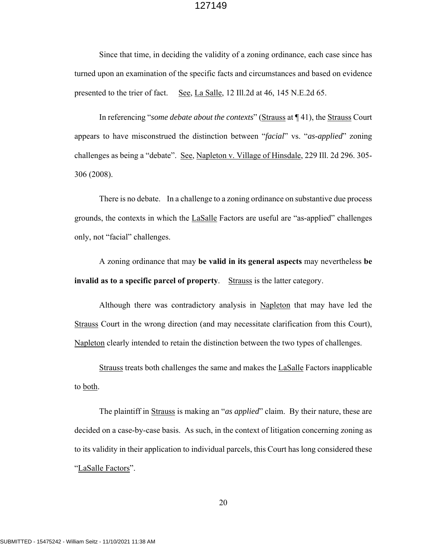Since that time, in deciding the validity of a zoning ordinance, each case since has turned upon an examination of the specific facts and circumstances and based on evidence presented to the trier of fact. See, La Salle, 12 Ill.2d at 46, 145 N.E.2d 65.

In referencing "*some debate about the contexts*" (Strauss at ¶ 41), the Strauss Court appears to have misconstrued the distinction between "*facial*" vs. "*as-applied*" zoning challenges as being a "debate". See, Napleton v. Village of Hinsdale, 229 Ill. 2d 296. 305- 306 (2008).

There is no debate. In a challenge to a zoning ordinance on substantive due process grounds, the contexts in which the LaSalle Factors are useful are "as-applied" challenges only, not "facial" challenges.

A zoning ordinance that may **be valid in its general aspects** may nevertheless **be invalid as to a specific parcel of property**. Strauss is the latter category.

Although there was contradictory analysis in Napleton that may have led the Strauss Court in the wrong direction (and may necessitate clarification from this Court), Napleton clearly intended to retain the distinction between the two types of challenges.

Strauss treats both challenges the same and makes the LaSalle Factors inapplicable to both.

The plaintiff in Strauss is making an "*as applied*" claim. By their nature, these are decided on a case-by-case basis. As such, in the context of litigation concerning zoning as to its validity in their application to individual parcels, this Court has long considered these "LaSalle Factors".

20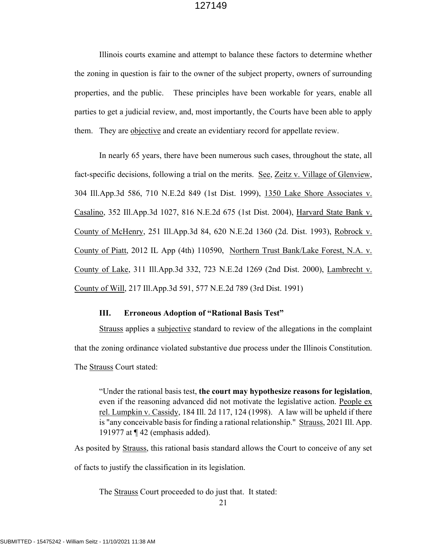Illinois courts examine and attempt to balance these factors to determine whether the zoning in question is fair to the owner of the subject property, owners of surrounding properties, and the public. These principles have been workable for years, enable all parties to get a judicial review, and, most importantly, the Courts have been able to apply them. They are objective and create an evidentiary record for appellate review.

In nearly 65 years, there have been numerous such cases, throughout the state, all fact-specific decisions, following a trial on the merits. See, Zeitz v. Village of Glenview, 304 Ill.App.3d 586, 710 N.E.2d 849 (1st Dist. 1999), 1350 Lake Shore Associates v. Casalino, 352 Ill.App.3d 1027, 816 N.E.2d 675 (1st Dist. 2004), Harvard State Bank v. County of McHenry, 251 Ill.App.3d 84, 620 N.E.2d 1360 (2d. Dist. 1993), Robrock v. County of Piatt, 2012 IL App (4th) 110590, Northern Trust Bank/Lake Forest, N.A. v. County of Lake, 311 Ill.App.3d 332, 723 N.E.2d 1269 (2nd Dist. 2000), Lambrecht v. County of Will, 217 Ill.App.3d 591, 577 N.E.2d 789 (3rd Dist. 1991)

#### **III. Erroneous Adoption of "Rational Basis Test"**

Strauss applies a subjective standard to review of the allegations in the complaint that the zoning ordinance violated substantive due process under the Illinois Constitution. The Strauss Court stated:

"Under the rational basis test, **the court may hypothesize reasons for legislation**, even if the reasoning advanced did not motivate the legislative action. People ex rel. Lumpkin v. Cassidy, 184 Ill. 2d 117, 124 (1998). A law will be upheld if there is "any conceivable basis for finding a rational relationship." Strauss, 2021 Ill. App. 191977 at ¶ 42 (emphasis added).

As posited by Strauss, this rational basis standard allows the Court to conceive of any set of facts to justify the classification in its legislation.

The Strauss Court proceeded to do just that. It stated: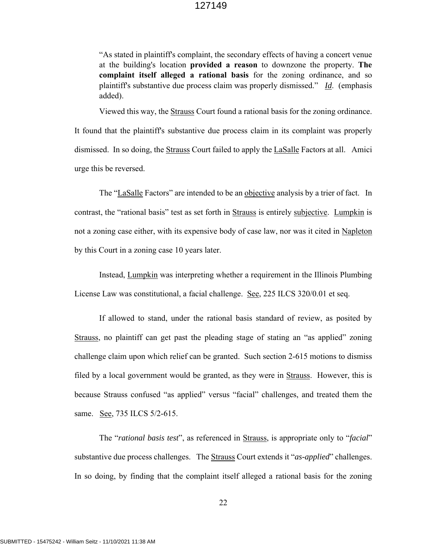"As stated in plaintiff's complaint, the secondary effects of having a concert venue at the building's location **provided a reason** to downzone the property. **The complaint itself alleged a rational basis** for the zoning ordinance, and so plaintiff's substantive due process claim was properly dismissed." *Id*. (emphasis added).

Viewed this way, the Strauss Court found a rational basis for the zoning ordinance. It found that the plaintiff's substantive due process claim in its complaint was properly dismissed. In so doing, the Strauss Court failed to apply the LaSalle Factors at all. Amici urge this be reversed.

The "LaSalle Factors" are intended to be an objective analysis by a trier of fact. In contrast, the "rational basis" test as set forth in Strauss is entirely subjective. Lumpkin is not a zoning case either, with its expensive body of case law, nor was it cited in Napleton by this Court in a zoning case 10 years later.

Instead, Lumpkin was interpreting whether a requirement in the Illinois Plumbing License Law was constitutional, a facial challenge. See, 225 ILCS 320/0.01 et seq.

If allowed to stand, under the rational basis standard of review, as posited by Strauss, no plaintiff can get past the pleading stage of stating an "as applied" zoning challenge claim upon which relief can be granted. Such section 2-615 motions to dismiss filed by a local government would be granted, as they were in Strauss. However, this is because Strauss confused "as applied" versus "facial" challenges, and treated them the same. See, 735 ILCS 5/2-615.

The "*rational basis test*", as referenced in Strauss, is appropriate only to "*facial*" substantive due process challenges. The Strauss Court extends it "*as-applied*" challenges. In so doing, by finding that the complaint itself alleged a rational basis for the zoning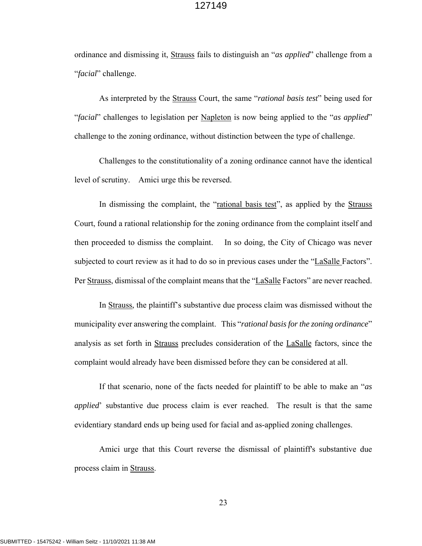ordinance and dismissing it, Strauss fails to distinguish an "*as applied*" challenge from a "*facial*" challenge.

As interpreted by the Strauss Court, the same "*rational basis test*" being used for "*facial*" challenges to legislation per Napleton is now being applied to the "*as applied*" challenge to the zoning ordinance, without distinction between the type of challenge.

Challenges to the constitutionality of a zoning ordinance cannot have the identical level of scrutiny. Amici urge this be reversed.

In dismissing the complaint, the "rational basis test", as applied by the Strauss Court, found a rational relationship for the zoning ordinance from the complaint itself and then proceeded to dismiss the complaint. In so doing, the City of Chicago was never subjected to court review as it had to do so in previous cases under the "LaSalle Factors". Per Strauss, dismissal of the complaint means that the "LaSalle Factors" are never reached.

In Strauss, the plaintiff's substantive due process claim was dismissed without the municipality ever answering the complaint. This "*rational basis for the zoning ordinance*" analysis as set forth in Strauss precludes consideration of the LaSalle factors, since the complaint would already have been dismissed before they can be considered at all.

If that scenario, none of the facts needed for plaintiff to be able to make an "*as applied*' substantive due process claim is ever reached. The result is that the same evidentiary standard ends up being used for facial and as-applied zoning challenges.

Amici urge that this Court reverse the dismissal of plaintiff's substantive due process claim in Strauss.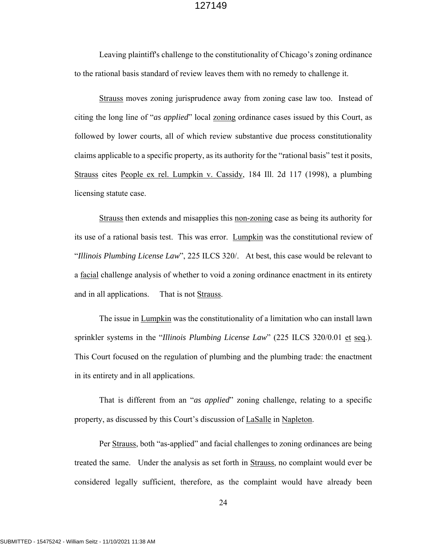Leaving plaintiff's challenge to the constitutionality of Chicago's zoning ordinance to the rational basis standard of review leaves them with no remedy to challenge it.

Strauss moves zoning jurisprudence away from zoning case law too. Instead of citing the long line of "*as applied*" local zoning ordinance cases issued by this Court, as followed by lower courts, all of which review substantive due process constitutionality claims applicable to a specific property, as its authority for the "rational basis" test it posits, Strauss cites People ex rel. Lumpkin v. Cassidy, 184 Ill. 2d 117 (1998), a plumbing licensing statute case.

Strauss then extends and misapplies this non-zoning case as being its authority for its use of a rational basis test. This was error. Lumpkin was the constitutional review of "*Illinois Plumbing License Law*", 225 ILCS 320/. At best, this case would be relevant to a facial challenge analysis of whether to void a zoning ordinance enactment in its entirety and in all applications. That is not Strauss.

The issue in Lumpkin was the constitutionality of a limitation who can install lawn sprinkler systems in the "*Illinois Plumbing License Law*" (225 ILCS 320/0.01 et seq.). This Court focused on the regulation of plumbing and the plumbing trade: the enactment in its entirety and in all applications.

That is different from an "*as applied*" zoning challenge, relating to a specific property, as discussed by this Court's discussion of LaSalle in Napleton.

Per Strauss, both "as-applied" and facial challenges to zoning ordinances are being treated the same. Under the analysis as set forth in Strauss, no complaint would ever be considered legally sufficient, therefore, as the complaint would have already been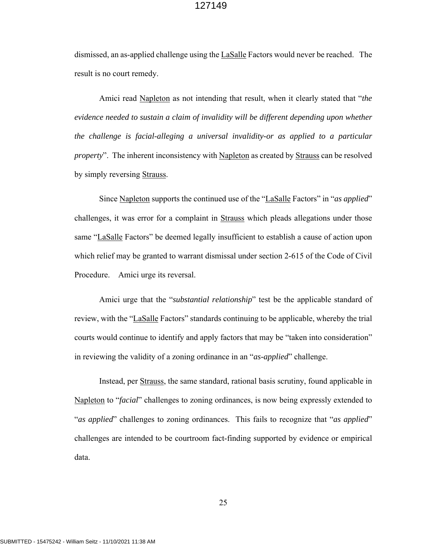dismissed, an as-applied challenge using the LaSalle Factors would never be reached. The result is no court remedy.

Amici read Napleton as not intending that result, when it clearly stated that "*the evidence needed to sustain a claim of invalidity will be different depending upon whether the challenge is facial-alleging a universal invalidity-or as applied to a particular property*". The inherent inconsistency with Napleton as created by Strauss can be resolved by simply reversing Strauss.

Since Napleton supports the continued use of the "LaSalle Factors" in "*as applied*" challenges, it was error for a complaint in Strauss which pleads allegations under those same "LaSalle Factors" be deemed legally insufficient to establish a cause of action upon which relief may be granted to warrant dismissal under section 2-615 of the Code of Civil Procedure. Amici urge its reversal.

Amici urge that the "*substantial relationship*" test be the applicable standard of review, with the "LaSalle Factors" standards continuing to be applicable, whereby the trial courts would continue to identify and apply factors that may be "taken into consideration" in reviewing the validity of a zoning ordinance in an "*as-applied*" challenge.

Instead, per Strauss, the same standard, rational basis scrutiny, found applicable in Napleton to "*facial*" challenges to zoning ordinances, is now being expressly extended to "*as applied*" challenges to zoning ordinances. This fails to recognize that "*as applied*" challenges are intended to be courtroom fact-finding supported by evidence or empirical data.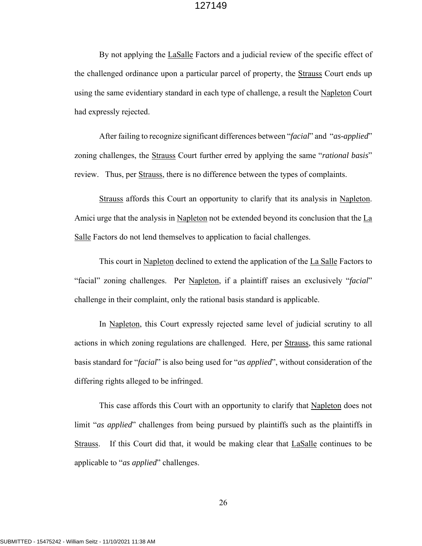By not applying the LaSalle Factors and a judicial review of the specific effect of the challenged ordinance upon a particular parcel of property, the **Strauss** Court ends up using the same evidentiary standard in each type of challenge, a result the Napleton Court had expressly rejected.

After failing to recognize significant differences between "*facial*" and "*as-applied*" zoning challenges, the Strauss Court further erred by applying the same "*rational basis*" review. Thus, per Strauss, there is no difference between the types of complaints.

Strauss affords this Court an opportunity to clarify that its analysis in Napleton. Amici urge that the analysis in Napleton not be extended beyond its conclusion that the La Salle Factors do not lend themselves to application to facial challenges.

This court in Napleton declined to extend the application of the La Salle Factors to "facial" zoning challenges. Per Napleton, if a plaintiff raises an exclusively "*facial*" challenge in their complaint, only the rational basis standard is applicable.

In Napleton, this Court expressly rejected same level of judicial scrutiny to all actions in which zoning regulations are challenged. Here, per Strauss, this same rational basis standard for "*facial*" is also being used for "*as applied*", without consideration of the differing rights alleged to be infringed.

This case affords this Court with an opportunity to clarify that Napleton does not limit "*as applied*" challenges from being pursued by plaintiffs such as the plaintiffs in Strauss. If this Court did that, it would be making clear that LaSalle continues to be applicable to "*as applied*" challenges.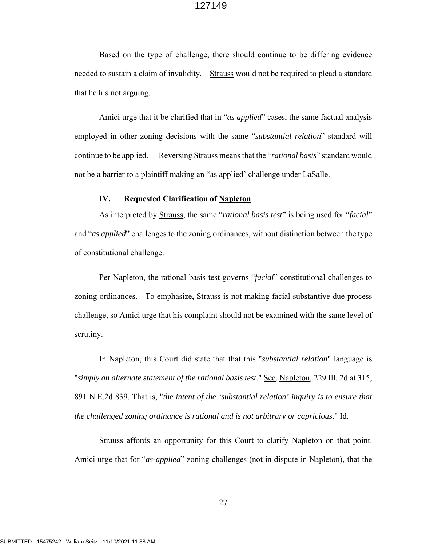Based on the type of challenge, there should continue to be differing evidence needed to sustain a claim of invalidity. Strauss would not be required to plead a standard that he his not arguing.

Amici urge that it be clarified that in "*as applied*" cases, the same factual analysis employed in other zoning decisions with the same "*substantial relation*" standard will continue to be applied. Reversing Strauss means that the "*rational basis*" standard would not be a barrier to a plaintiff making an "as applied' challenge under LaSalle.

### **IV. Requested Clarification of Napleton**

As interpreted by Strauss, the same "*rational basis test*" is being used for "*facial*" and "*as applied*" challenges to the zoning ordinances, without distinction between the type of constitutional challenge.

Per Napleton, the rational basis test governs "*facial*" constitutional challenges to zoning ordinances. To emphasize, Strauss is not making facial substantive due process challenge, so Amici urge that his complaint should not be examined with the same level of scrutiny.

In Napleton, this Court did state that that this "*substantial relation*" language is "*simply an alternate statement of the rational basis test.*" See, Napleton, 229 Ill. 2d at 315, 891 N.E.2d 839. That is, "*the intent of the 'substantial relation' inquiry is to ensure that the challenged zoning ordinance is rational and is not arbitrary or capricious*." Id.

Strauss affords an opportunity for this Court to clarify Napleton on that point. Amici urge that for "*as-applied*" zoning challenges (not in dispute in Napleton), that the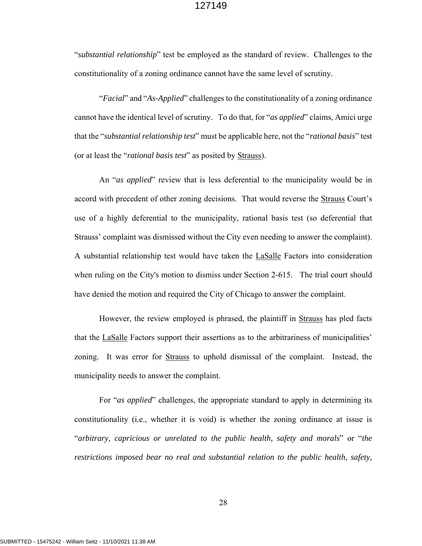"*substantial relationship*" test be employed as the standard of review. Challenges to the constitutionality of a zoning ordinance cannot have the same level of scrutiny.

"*Facial*" and "*As-Applied*" challenges to the constitutionality of a zoning ordinance cannot have the identical level of scrutiny. To do that, for "*as applied*" claims, Amici urge that the "*substantial relationship test*" must be applicable here, not the "*rational basis*" test (or at least the "*rational basis test*" as posited by Strauss).

An "*as applied*" review that is less deferential to the municipality would be in accord with precedent of other zoning decisions. That would reverse the Strauss Court's use of a highly deferential to the municipality, rational basis test (so deferential that Strauss' complaint was dismissed without the City even needing to answer the complaint). A substantial relationship test would have taken the LaSalle Factors into consideration when ruling on the City's motion to dismiss under Section 2-615. The trial court should have denied the motion and required the City of Chicago to answer the complaint.

However, the review employed is phrased, the plaintiff in Strauss has pled facts that the LaSalle Factors support their assertions as to the arbitrariness of municipalities' zoning. It was error for Strauss to uphold dismissal of the complaint. Instead, the municipality needs to answer the complaint.

For "*as applied*" challenges, the appropriate standard to apply in determining its constitutionality (i.e., whether it is void) is whether the zoning ordinance at issue is "*arbitrary, capricious or unrelated to the public health, safety and morals*" or "*the restrictions imposed bear no real and substantial relation to the public health, safety,*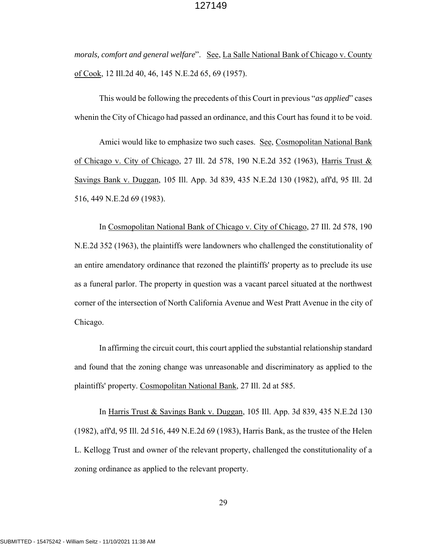*morals, comfort and general welfare*". See, La Salle National Bank of Chicago v. County of Cook, 12 Ill.2d 40, 46, 145 N.E.2d 65, 69 (1957).

This would be following the precedents of this Court in previous "*as applied*" cases whenin the City of Chicago had passed an ordinance, and this Court has found it to be void.

Amici would like to emphasize two such cases. See, Cosmopolitan National Bank of Chicago v. City of Chicago, 27 Ill. 2d 578, 190 N.E.2d 352 (1963), Harris Trust & Savings Bank v. Duggan, 105 Ill. App. 3d 839, 435 N.E.2d 130 (1982), aff'd, 95 Ill. 2d 516, 449 N.E.2d 69 (1983).

In Cosmopolitan National Bank of Chicago v. City of Chicago, 27 Ill. 2d 578, 190 N.E.2d 352 (1963), the plaintiffs were landowners who challenged the constitutionality of an entire amendatory ordinance that rezoned the plaintiffs' property as to preclude its use as a funeral parlor. The property in question was a vacant parcel situated at the northwest corner of the intersection of North California Avenue and West Pratt Avenue in the city of Chicago.

In affirming the circuit court, this court applied the substantial relationship standard and found that the zoning change was unreasonable and discriminatory as applied to the plaintiffs' property. Cosmopolitan National Bank, 27 Ill. 2d at 585.

In Harris Trust & Savings Bank v. Duggan, 105 Ill. App. 3d 839, 435 N.E.2d 130 (1982), aff'd, 95 Ill. 2d 516, 449 N.E.2d 69 (1983), Harris Bank, as the trustee of the Helen L. Kellogg Trust and owner of the relevant property, challenged the constitutionality of a zoning ordinance as applied to the relevant property.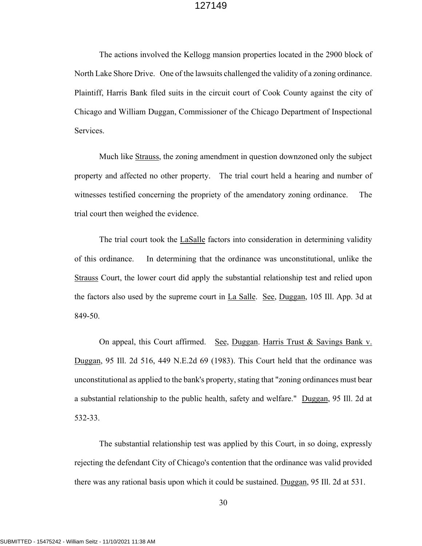The actions involved the Kellogg mansion properties located in the 2900 block of North Lake Shore Drive. One of the lawsuits challenged the validity of a zoning ordinance. Plaintiff, Harris Bank filed suits in the circuit court of Cook County against the city of Chicago and William Duggan, Commissioner of the Chicago Department of Inspectional Services.

Much like Strauss, the zoning amendment in question downzoned only the subject property and affected no other property. The trial court held a hearing and number of witnesses testified concerning the propriety of the amendatory zoning ordinance. The trial court then weighed the evidence.

The trial court took the LaSalle factors into consideration in determining validity of this ordinance. In determining that the ordinance was unconstitutional, unlike the Strauss Court, the lower court did apply the substantial relationship test and relied upon the factors also used by the supreme court in La Salle. See, Duggan, 105 Ill. App. 3d at 849-50.

On appeal, this Court affirmed. See, Duggan. Harris Trust & Savings Bank v. Duggan, 95 Ill. 2d 516, 449 N.E.2d 69 (1983). This Court held that the ordinance was unconstitutional as applied to the bank's property, stating that "zoning ordinances must bear a substantial relationship to the public health, safety and welfare." Duggan, 95 Ill. 2d at 532-33.

The substantial relationship test was applied by this Court, in so doing, expressly rejecting the defendant City of Chicago's contention that the ordinance was valid provided there was any rational basis upon which it could be sustained. Duggan, 95 Ill. 2d at 531.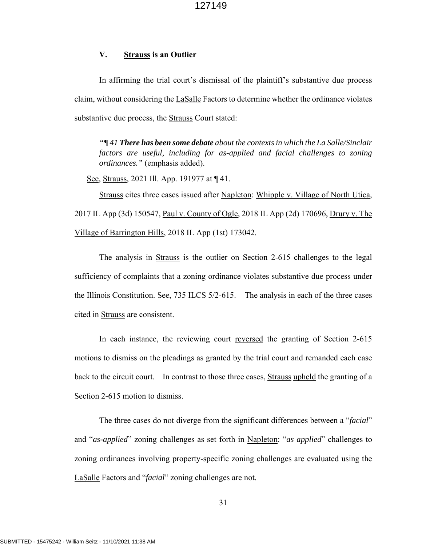## **V. Strauss is an Outlier**

In affirming the trial court's dismissal of the plaintiff's substantive due process claim, without considering the LaSalle Factors to determine whether the ordinance violates substantive due process, the Strauss Court stated:

*"¶ 41 There has been some debate about the contexts in which the La Salle/Sinclair factors are useful, including for as-applied and facial challenges to zoning ordinances."* (emphasis added).

See, Strauss, 2021 Ill. App. 191977 at  $\P$  41.

Strauss cites three cases issued after Napleton: Whipple v. Village of North Utica, 2017 IL App (3d) 150547, <u>Paul v. County of Ogle</u>, 2018 IL App (2d) 170696, Drury v. The Village of Barrington Hills, 2018 IL App (1st) 173042.

The analysis in **Strauss** is the outlier on Section 2-615 challenges to the legal sufficiency of complaints that a zoning ordinance violates substantive due process under the Illinois Constitution. See, 735 ILCS 5/2-615. The analysis in each of the three cases cited in Strauss are consistent.

In each instance, the reviewing court reversed the granting of Section 2-615 motions to dismiss on the pleadings as granted by the trial court and remanded each case back to the circuit court. In contrast to those three cases, Strauss upheld the granting of a Section 2-615 motion to dismiss.

The three cases do not diverge from the significant differences between a "*facial*" and "*as-applied*" zoning challenges as set forth in Napleton: "*as applied*" challenges to zoning ordinances involving property-specific zoning challenges are evaluated using the LaSalle Factors and "*facial*" zoning challenges are not.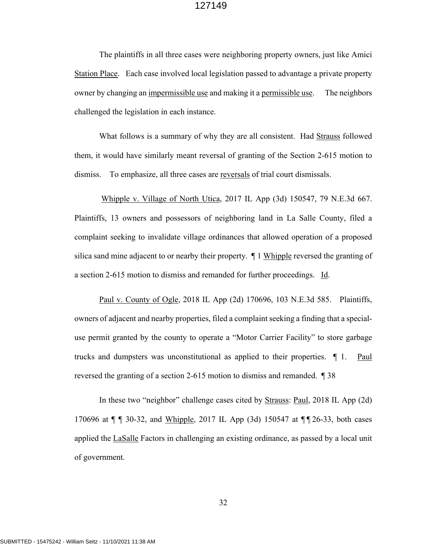The plaintiffs in all three cases were neighboring property owners, just like Amici Station Place. Each case involved local legislation passed to advantage a private property owner by changing an impermissible use and making it a permissible use. The neighbors challenged the legislation in each instance.

What follows is a summary of why they are all consistent. Had Strauss followed them, it would have similarly meant reversal of granting of the Section 2-615 motion to dismiss. To emphasize, all three cases are reversals of trial court dismissals.

 Whipple v. Village of North Utica, 2017 IL App (3d) 150547, 79 N.E.3d 667. Plaintiffs, 13 owners and possessors of neighboring land in La Salle County, filed a complaint seeking to invalidate village ordinances that allowed operation of a proposed silica sand mine adjacent to or nearby their property. ¶ 1 Whipple reversed the granting of a section 2-615 motion to dismiss and remanded for further proceedings. Id.

Paul v. County of Ogle, 2018 IL App (2d) 170696, 103 N.E.3d 585. Plaintiffs, owners of adjacent and nearby properties, filed a complaint seeking a finding that a specialuse permit granted by the county to operate a "Motor Carrier Facility" to store garbage trucks and dumpsters was unconstitutional as applied to their properties.  $\parallel$  1. Paul reversed the granting of a section 2-615 motion to dismiss and remanded. ¶ 38

In these two "neighbor" challenge cases cited by Strauss: Paul, 2018 IL App (2d) 170696 at ¶ ¶ 30-32, and Whipple, 2017 IL App (3d) 150547 at ¶ ¶ 26-33, both cases applied the LaSalle Factors in challenging an existing ordinance, as passed by a local unit of government.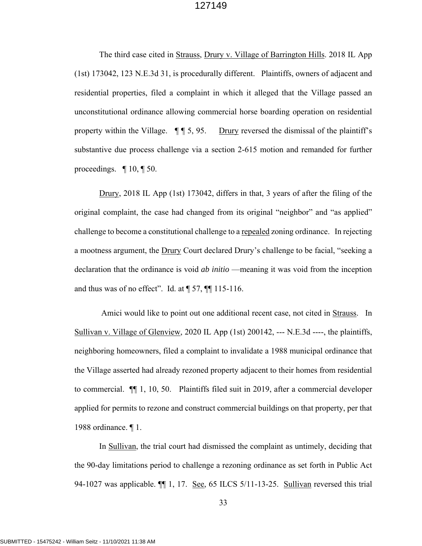The third case cited in Strauss, Drury v. Village of Barrington Hills. 2018 IL App (1st) 173042, 123 N.E.3d 31, is procedurally different. Plaintiffs, owners of adjacent and residential properties, filed a complaint in which it alleged that the Village passed an unconstitutional ordinance allowing commercial horse boarding operation on residential property within the Village.  $\P$   $\P$  5, 95. Drury reversed the dismissal of the plaintiff's substantive due process challenge via a section 2-615 motion and remanded for further proceedings.  $\P$  10,  $\P$  50.

Drury, 2018 IL App (1st) 173042, differs in that, 3 years of after the filing of the original complaint, the case had changed from its original "neighbor" and "as applied" challenge to become a constitutional challenge to a repealed zoning ordinance. In rejecting a mootness argument, the Drury Court declared Drury's challenge to be facial, "seeking a declaration that the ordinance is void *ab initio* —meaning it was void from the inception and thus was of no effect". Id. at  $\P$  57,  $\P$  $\P$  115-116.

Amici would like to point out one additional recent case, not cited in Strauss. In Sullivan v. Village of Glenview, 2020 IL App (1st) 200142, --- N.E.3d ----, the plaintiffs, neighboring homeowners, filed a complaint to invalidate a 1988 municipal ordinance that the Village asserted had already rezoned property adjacent to their homes from residential to commercial. ¶¶ 1, 10, 50. Plaintiffs filed suit in 2019, after a commercial developer applied for permits to rezone and construct commercial buildings on that property, per that 1988 ordinance. ¶ 1.

In Sullivan, the trial court had dismissed the complaint as untimely, deciding that the 90-day limitations period to challenge a rezoning ordinance as set forth in Public Act 94-1027 was applicable.  $\P$  1, 17. See, 65 ILCS 5/11-13-25. Sullivan reversed this trial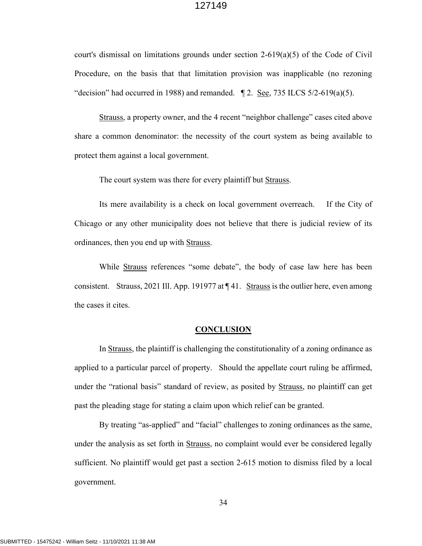court's dismissal on limitations grounds under section 2-619(a)(5) of the Code of Civil Procedure, on the basis that that limitation provision was inapplicable (no rezoning "decision" had occurred in 1988) and remanded.  $\parallel$  2. <u>See</u>, 735 ILCS 5/2-619(a)(5).

Strauss, a property owner, and the 4 recent "neighbor challenge" cases cited above share a common denominator: the necessity of the court system as being available to protect them against a local government.

The court system was there for every plaintiff but Strauss.

Its mere availability is a check on local government overreach. If the City of Chicago or any other municipality does not believe that there is judicial review of its ordinances, then you end up with Strauss.

While Strauss references "some debate", the body of case law here has been consistent. Strauss, 2021 Ill. App. 191977 at ¶ 41. Strauss is the outlier here, even among the cases it cites.

#### **CONCLUSION**

In Strauss, the plaintiff is challenging the constitutionality of a zoning ordinance as applied to a particular parcel of property. Should the appellate court ruling be affirmed, under the "rational basis" standard of review, as posited by Strauss, no plaintiff can get past the pleading stage for stating a claim upon which relief can be granted.

By treating "as-applied" and "facial" challenges to zoning ordinances as the same, under the analysis as set forth in Strauss, no complaint would ever be considered legally sufficient. No plaintiff would get past a section 2-615 motion to dismiss filed by a local government.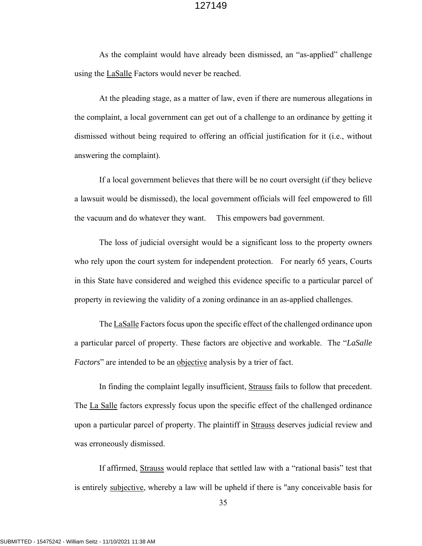As the complaint would have already been dismissed, an "as-applied" challenge using the LaSalle Factors would never be reached.

At the pleading stage, as a matter of law, even if there are numerous allegations in the complaint, a local government can get out of a challenge to an ordinance by getting it dismissed without being required to offering an official justification for it (i.e., without answering the complaint).

If a local government believes that there will be no court oversight (if they believe a lawsuit would be dismissed), the local government officials will feel empowered to fill the vacuum and do whatever they want. This empowers bad government.

The loss of judicial oversight would be a significant loss to the property owners who rely upon the court system for independent protection. For nearly 65 years, Courts in this State have considered and weighed this evidence specific to a particular parcel of property in reviewing the validity of a zoning ordinance in an as-applied challenges.

The LaSalle Factors focus upon the specific effect of the challenged ordinance upon a particular parcel of property. These factors are objective and workable. The "*LaSalle Factors*" are intended to be an objective analysis by a trier of fact.

In finding the complaint legally insufficient, Strauss fails to follow that precedent. The La Salle factors expressly focus upon the specific effect of the challenged ordinance upon a particular parcel of property. The plaintiff in Strauss deserves judicial review and was erroneously dismissed.

If affirmed, Strauss would replace that settled law with a "rational basis" test that is entirely subjective, whereby a law will be upheld if there is "any conceivable basis for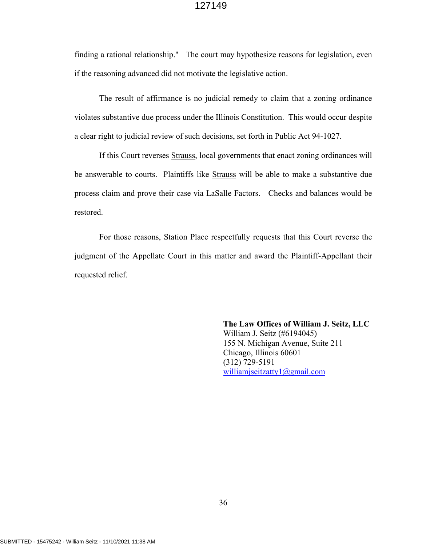finding a rational relationship." The court may hypothesize reasons for legislation, even if the reasoning advanced did not motivate the legislative action.

 The result of affirmance is no judicial remedy to claim that a zoning ordinance violates substantive due process under the Illinois Constitution. This would occur despite a clear right to judicial review of such decisions, set forth in Public Act 94-1027.

If this Court reverses Strauss, local governments that enact zoning ordinances will be answerable to courts. Plaintiffs like Strauss will be able to make a substantive due process claim and prove their case via LaSalle Factors. Checks and balances would be restored.

For those reasons, Station Place respectfully requests that this Court reverse the judgment of the Appellate Court in this matter and award the Plaintiff-Appellant their requested relief.

> **The Law Offices of William J. Seitz, LLC** William J. Seitz (#6194045) 155 N. Michigan Avenue, Suite 211 Chicago, Illinois 60601 (312) 729-5191 williamjseitzatty1@gmail.com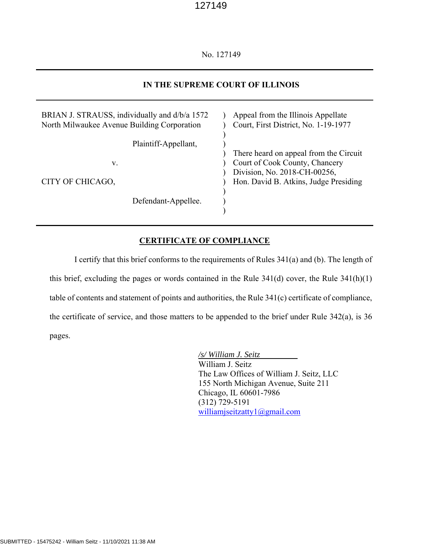No. 127149

## **IN THE SUPREME COURT OF ILLINOIS**

| BRIAN J. STRAUSS, individually and d/b/a 1572<br>North Milwaukee Avenue Building Corporation | Appeal from the Illinois Appellate<br>Court, First District, No. 1-19-1977                                                                        |
|----------------------------------------------------------------------------------------------|---------------------------------------------------------------------------------------------------------------------------------------------------|
| Plaintiff-Appellant,<br>v.<br>CITY OF CHICAGO,                                               | There heard on appeal from the Circuit<br>Court of Cook County, Chancery<br>Division, No. 2018-CH-00256,<br>Hon. David B. Atkins, Judge Presiding |
| Defendant-Appellee.                                                                          |                                                                                                                                                   |

## **CERTIFICATE OF COMPLIANCE**

 I certify that this brief conforms to the requirements of Rules 341(a) and (b). The length of this brief, excluding the pages or words contained in the Rule 341(d) cover, the Rule 341(h)(1) table of contents and statement of points and authorities, the Rule 341(c) certificate of compliance, the certificate of service, and those matters to be appended to the brief under Rule 342(a), is 36 pages.

> */s/ William J. Seitz*  William J. Seitz The Law Offices of William J. Seitz, LLC 155 North Michigan Avenue, Suite 211 Chicago, IL 60601-7986 (312) 729-5191 williamjseitzatty1@gmail.com